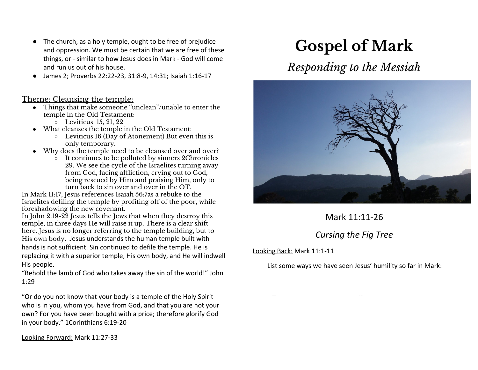- The church, as a holy temple, ought to be free of prejudice and oppression. We must be certain that we are free of these things, or - similar to how Jesus does in Mark - God will come and run us out of his house.
- James 2; Proverbs 22:22-23, 31:8-9, 14:31; Isaiah 1:16-17

#### Theme: Cleansing the temple:

- Things that make someone "unclean"/unable to enter the temple in the Old Testament:
	- $\circ$  Leviticus 15, 21, 22
- What cleanses the temple in the Old Testament:
	- Leviticus 16 (Day of Atonement) But even this is only temporary.
- Why does the temple need to be cleansed over and over?
	- $\overline{\text{o}}$  It continues to be polluted by sinners 2Chronicles 29. We see the cycle of the Israelites turning away from God, facing affliction, crying out to God, being rescued by Him and praising Him, only to turn back to sin over and over in the OT.

In Mark 11:17, Jesus references Isaiah 56:7as a rebuke to the Israelites defiling the temple by profiting off of the poor, while foreshadowing the new covenant.

In John 2:19-22 Jesus tells the Jews that when they destroy this temple, in three days He will raise it up. There is a clear shift here. Jesus is no longer referring to the temple building, but to His own body. Jesus understands the human temple built with hands is not sufficient. Sin continued to defile the temple. He is replacing it with a superior temple, His own body, and He will indwell His people.

"Behold the lamb of God who takes away the sin of the world!" John 1:29

"Or do you not know that your body is a temple of the Holy Spirit who is in you, whom you have from God, and that you are not your own? For you have been bought with a price; therefore glorify God in your body." 1Corinthians 6:19-20

Looking Forward: Mark 11:27-33

# **Gospel of Mark**

# *Responding to the Messiah*



## Mark 11:11-26

### *Cursing the Fig Tree*

#### Looking Back: Mark 11:1-11

List some ways we have seen Jesus' humility so far in Mark:

- -- --
- -- --